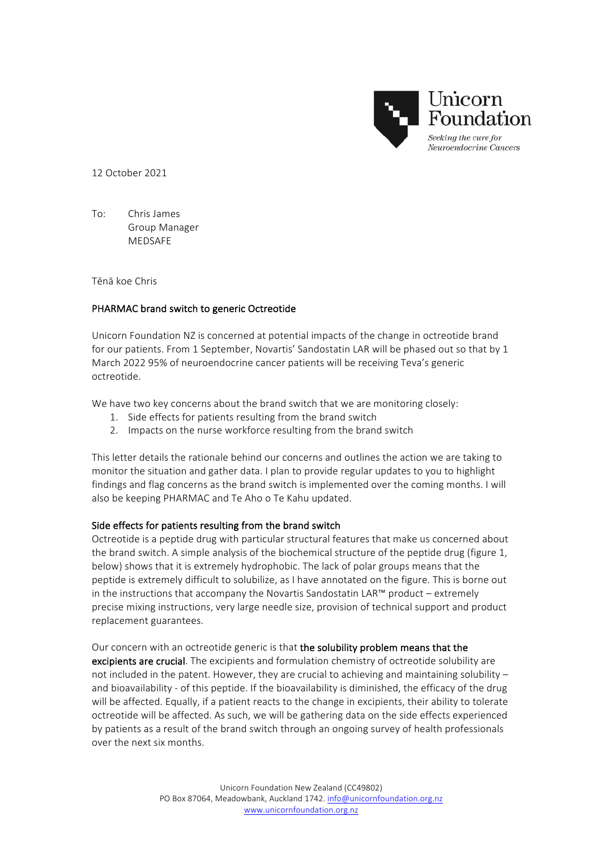

12 October 2021

To: Chris James Group Manager MEDSAFE

Tēnā koe Chris

## PHARMAC brand switch to generic Octreotide

Unicorn Foundation NZ is concerned at potential impacts of the change in octreotide brand for our patients. From 1 September, Novartis' Sandostatin LAR will be phased out so that by 1 March 2022 95% of neuroendocrine cancer patients will be receiving Teva's generic octreotide.

We have two key concerns about the brand switch that we are monitoring closely:

- 1. Side effects for patients resulting from the brand switch
- 2. Impacts on the nurse workforce resulting from the brand switch

This letter details the rationale behind our concerns and outlines the action we are taking to monitor the situation and gather data. I plan to provide regular updates to you to highlight findings and flag concerns as the brand switch is implemented over the coming months. I will also be keeping PHARMAC and Te Aho o Te Kahu updated.

## Side effects for patients resulting from the brand switch

Octreotide is a peptide drug with particular structural features that make us concerned about the brand switch. A simple analysis of the biochemical structure of the peptide drug (figure 1, below) shows that it is extremely hydrophobic. The lack of polar groups means that the peptide is extremely difficult to solubilize, as I have annotated on the figure. This is borne out in the instructions that accompany the Novartis Sandostatin LAR™ product – extremely precise mixing instructions, very large needle size, provision of technical support and product replacement guarantees. 

Our concern with an octreotide generic is that the solubility problem means that the excipients are crucial. The excipients and formulation chemistry of octreotide solubility are not included in the patent. However, they are crucial to achieving and maintaining solubility  $$ and bioavailability - of this peptide. If the bioavailability is diminished, the efficacy of the drug will be affected. Equally, if a patient reacts to the change in excipients, their ability to tolerate octreotide will be affected. As such, we will be gathering data on the side effects experienced by patients as a result of the brand switch through an ongoing survey of health professionals over the next six months.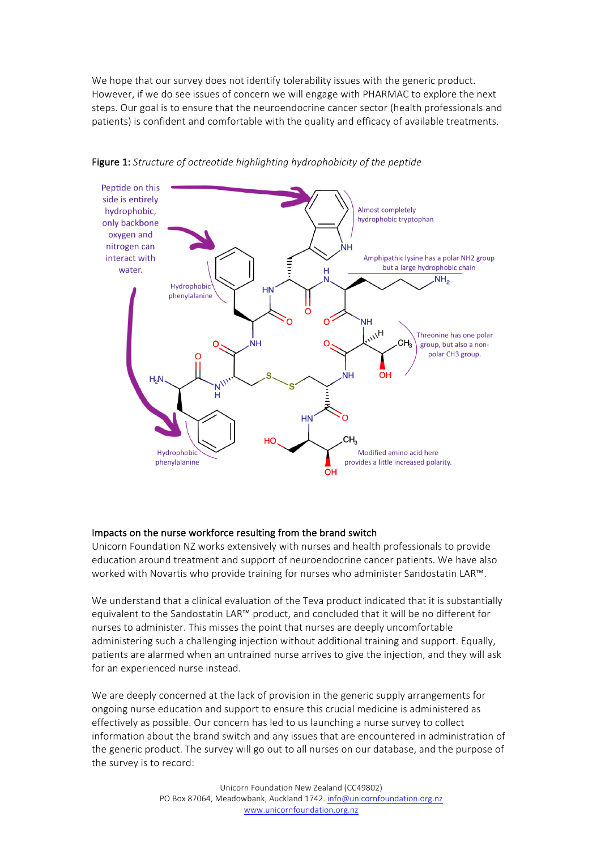We hope that our survey does not identify tolerability issues with the generic product. However, if we do see issues of concern we will engage with PHARMAC to explore the next steps. Our goal is to ensure that the neuroendocrine cancer sector (health professionals and patients) is confident and comfortable with the quality and efficacy of available treatments.



Figure 1: Structure of octreotide highlighting hydrophobicity of the peptide

## Impacts on the nurse workforce resulting from the brand switch

Unicorn Foundation NZ works extensively with nurses and health professionals to provide education around treatment and support of neuroendocrine cancer patients. We have also worked with Novartis who provide training for nurses who administer Sandostatin LAR™.

We understand that a clinical evaluation of the Teva product indicated that it is substantially equivalent to the Sandostatin LAR™ product, and concluded that it will be no different for nurses to administer. This misses the point that nurses are deeply uncomfortable administering such a challenging injection without additional training and support. Equally, patients are alarmed when an untrained nurse arrives to give the injection, and they will ask for an experienced nurse instead.

We are deeply concerned at the lack of provision in the generic supply arrangements for ongoing nurse education and support to ensure this crucial medicine is administered as effectively as possible. Our concern has led to us launching a nurse survey to collect information about the brand switch and any issues that are encountered in administration of the generic product. The survey will go out to all nurses on our database, and the purpose of the survey is to record: